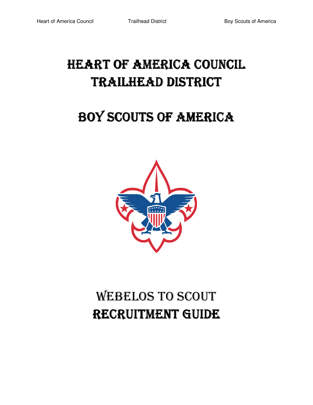# HEART OF AMERICA COUNCIL TRAILHEAD DISTRICT

# BOY SCOUTS OF AMERICA



# WEBELOS TO SCOUT RECRUITMENT GUIDE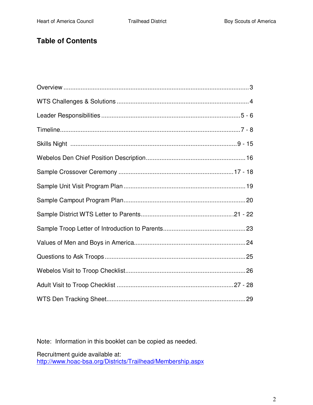## **Table of Contents**

Note: Information in this booklet can be copied as needed.

Recruitment guide available at: http://www.hoac-bsa.org/Districts/Trailhead/Membership.aspx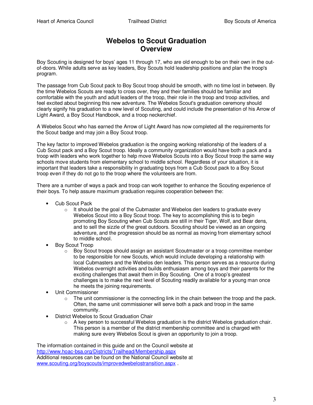## **Webelos to Scout Graduation Overview**

Boy Scouting is designed for boys' ages 11 through 17, who are old enough to be on their own in the outof-doors. While adults serve as key leaders, Boy Scouts hold leadership positions and plan the troop's program.

The passage from Cub Scout pack to Boy Scout troop should be smooth, with no time lost in between. By the time Webelos Scouts are ready to cross over, they and their families should be familiar and comfortable with the youth and adult leaders of the troop, their role in the troop and troop activities, and feel excited about beginning this new adventure. The Webelos Scout's graduation ceremony should clearly signify his graduation to a new level of Scouting, and could include the presentation of his Arrow of Light Award, a Boy Scout Handbook, and a troop neckerchief.

A Webelos Scout who has earned the Arrow of Light Award has now completed all the requirements for the Scout badge and may join a Boy Scout troop.

The key factor to improved Webelos graduation is the ongoing working relationship of the leaders of a Cub Scout pack and a Boy Scout troop. Ideally a community organization would have both a pack and a troop with leaders who work together to help move Webelos Scouts into a Boy Scout troop the same way schools move students from elementary school to middle school. Regardless of your situation, it is important that leaders take a responsibility in graduating boys from a Cub Scout pack to a Boy Scout troop even if they do not go to the troop where the volunteers are from.

There are a number of ways a pack and troop can work together to enhance the Scouting experience of their boys. To help assure maximum graduation requires cooperation between the:

- Cub Scout Pack
	- $\circ$  It should be the goal of the Cubmaster and Webelos den leaders to graduate every Webelos Scout into a Boy Scout troop. The key to accomplishing this is to begin promoting Boy Scouting when Cub Scouts are still in their Tiger, Wolf, and Bear dens, and to sell the sizzle of the great outdoors. Scouting should be viewed as an ongoing adventure, and the progression should be as normal as moving from elementary school to middle school.
- Boy Scout Troop
	- $\circ$  Boy Scout troops should assign an assistant Scoutmaster or a troop committee member to be responsible for new Scouts, which would include developing a relationship with local Cubmasters and the Webelos den leaders. This person serves as a resource during Webelos overnight activities and builds enthusiasm among boys and their parents for the exciting challenges that await them in Boy Scouting. One of a troop's greatest challenges is to make the next level of Scouting readily available for a young man once he meets the joining requirements.
- Unit Commissioner
	- $\circ$  The unit commissioner is the connecting link in the chain between the troop and the pack. Often, the same unit commissioner will serve both a pack and troop in the same community.
- District Webelos to Scout Graduation Chair
	- $\circ$  A key person to successful Webelos graduation is the district Webelos graduation chair. This person is a member of the district membership committee and is charged with making sure every Webelos Scout is given an opportunity to join a troop.

The information contained in this guide and on the Council website at http://www.hoac-bsa.org/Districts/Trailhead/Membership.aspx Additional resources can be found on the National Council website at www.scouting.org/boyscouts/improvedwebelostransition.aspx .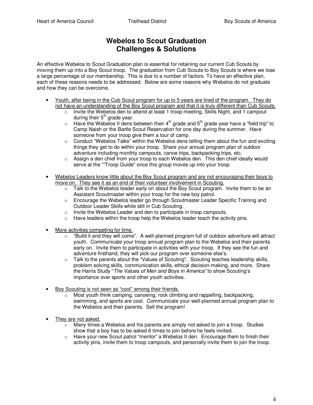## **Webelos to Scout Graduation Challenges & Solutions**

An effective Webelos to Scout Graduation plan is essential for retaining our current Cub Scouts by moving them up into a Boy Scout troop. The graduation from Cub Scouts to Boy Scouts is where we lose a large percentage of our membership. This is due to a number of factors. To have an effective plan, each of these reasons needs to be addressed. Below are some reasons why Webelos do not graduate and how they can be overcome.

- Youth, after being in the Cub Scout program for up to 5 years are tired of the program. They do not have an understanding of the Boy Scout program and that it is truly different than Cub Scouts.
	- $\circ$  Invite the Webelos den to attend at least 1 troop meeting, Skills Night, and 1 campout during their  $5<sup>th</sup>$  grade year.
	- $\circ$  Have the Webelos II dens between their 4<sup>th</sup> grade and 5<sup>th</sup> grade year have a "field trip" to Camp Naish or the Bartle Scout Reservation for one day during the summer. Have someone from your troop give them a tour of camp.
	- $\circ$  Conduct "Webelos Talks" within the Webelos dens telling them about the fun and exciting things they get to do within your troop. Share your annual program plan of outdoor adventure including monthly campouts, canoe trips, backpacking trips, etc.
	- $\circ$  Assign a den chief from your troop to each Webelos den. This den chief ideally would serve at the ""Troop Guide" once this group moves up into your troop.
- Webelos Leaders know little about the Boy Scout program and are not encouraging their boys to move on. They see it as an end of their volunteer involvement in Scouting.
	- o Talk to the Webelos leader early on about the Boy Scout program. Invite them to be an Assistant Scoutmaster within your troop for the new boy patrol.
	- o Encourage the Webelos leader go through Scoutmaster Leader Specific Training and Outdoor Leader Skills while still in Cub Scouting.
	- o Invite the Webelos Leader and den to participate in troop campouts.
	- o Have leaders within the troop help the Webelos leader teach the activity pins.
- More activities competing for time.
	- $\circ$  "Build it and they will come". A well-planned program full of outdoor adventure will attract youth. Communicate your troop annual program plan to the Webelos and their parents early on. Invite them to participate in activities with your troop. If they see the fun and adventure firsthand, they will pick our program over someone else's.
	- o Talk to the parents about the "Values of Scouting". Scouting teaches leadership skills, problem solving skills, communication skills, ethical decision-making, and more. Share the Harris Study "The Values of Men and Boys in America" to show Scouting's importance over sports and other youth activities.
- Boy Scouting is not seen as "cool" among their friends.
	- o Most youth think camping, canoeing, rock climbing and rappelling, backpacking, swimming, and sports are cool. Communicate your well-planned annual program plan to the Webelos and their parents. Sell the program!
- They are not asked.
	- $\circ$  Many times a Webelos and his parents are simply not asked to join a troop. Studies show that a boy has to be asked 6 times to join before he feels invited.
	- $\circ$  Have your new Scout patrol "mentor" a Webelos II den. Encourage them to finish their activity pins, invite them to troop campouts, and personally invite them to join the troop.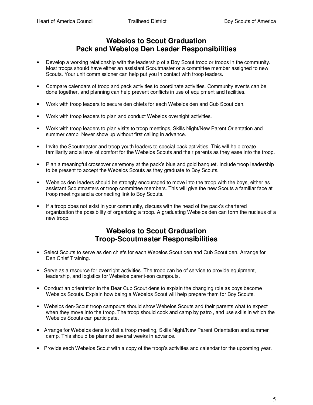## **Webelos to Scout Graduation Pack and Webelos Den Leader Responsibilities**

- Develop a working relationship with the leadership of a Boy Scout troop or troops in the community. Most troops should have either an assistant Scoutmaster or a committee member assigned to new Scouts. Your unit commissioner can help put you in contact with troop leaders.
- Compare calendars of troop and pack activities to coordinate activities. Community events can be done together, and planning can help prevent conflicts in use of equipment and facilities.
- Work with troop leaders to secure den chiefs for each Webelos den and Cub Scout den.
- Work with troop leaders to plan and conduct Webelos overnight activities.
- Work with troop leaders to plan visits to troop meetings, Skills Night/New Parent Orientation and summer camp. Never show up without first calling in advance.
- Invite the Scoutmaster and troop youth leaders to special pack activities. This will help create familiarity and a level of comfort for the Webelos Scouts and their parents as they ease into the troop.
- Plan a meaningful crossover ceremony at the pack's blue and gold banquet. Include troop leadership to be present to accept the Webelos Scouts as they graduate to Boy Scouts.
- Webelos den leaders should be strongly encouraged to move into the troop with the boys, either as assistant Scoutmasters or troop committee members. This will give the new Scouts a familiar face at troop meetings and a connecting link to Boy Scouts.
- If a troop does not exist in your community, discuss with the head of the pack's chartered organization the possibility of organizing a troop. A graduating Webelos den can form the nucleus of a new troop.

## **Webelos to Scout Graduation Troop-Scoutmaster Responsibilities**

- Select Scouts to serve as den chiefs for each Webelos Scout den and Cub Scout den. Arrange for Den Chief Training.
- Serve as a resource for overnight activities. The troop can be of service to provide equipment, leadership, and logistics for Webelos parent-son campouts.
- Conduct an orientation in the Bear Cub Scout dens to explain the changing role as boys become Webelos Scouts. Explain how being a Webelos Scout will help prepare them for Boy Scouts.
- Webelos den-Scout troop campouts should show Webelos Scouts and their parents what to expect when they move into the troop. The troop should cook and camp by patrol, and use skills in which the Webelos Scouts can participate.
- Arrange for Webelos dens to visit a troop meeting, Skills Night/New Parent Orientation and summer camp. This should be planned several weeks in advance.
- Provide each Webelos Scout with a copy of the troop's activities and calendar for the upcoming year.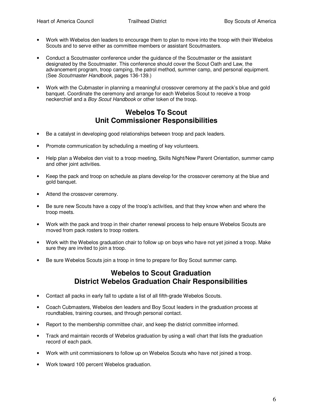- Work with Webelos den leaders to encourage them to plan to move into the troop with their Webelos Scouts and to serve either as committee members or assistant Scoutmasters.
- Conduct a Scoutmaster conference under the guidance of the Scoutmaster or the assistant designated by the Scoutmaster. This conference should cover the Scout Oath and Law, the advancement program, troop camping, the patrol method, summer camp, and personal equipment. (See Scoutmaster Handbook, pages 136-139.)
- Work with the Cubmaster in planning a meaningful crossover ceremony at the pack's blue and gold banquet. Coordinate the ceremony and arrange for each Webelos Scout to receive a troop neckerchief and a Boy Scout Handbook or other token of the troop.

### **Webelos To Scout Unit Commissioner Responsibilities**

- Be a catalyst in developing good relationships between troop and pack leaders.
- Promote communication by scheduling a meeting of key volunteers.
- Help plan a Webelos den visit to a troop meeting, Skills Night/New Parent Orientation, summer camp and other joint activities.
- Keep the pack and troop on schedule as plans develop for the crossover ceremony at the blue and gold banquet.
- Attend the crossover ceremony.
- Be sure new Scouts have a copy of the troop's activities, and that they know when and where the troop meets.
- Work with the pack and troop in their charter renewal process to help ensure Webelos Scouts are moved from pack rosters to troop rosters.
- Work with the Webelos graduation chair to follow up on boys who have not yet joined a troop. Make sure they are invited to join a troop.
- Be sure Webelos Scouts join a troop in time to prepare for Boy Scout summer camp.

## **Webelos to Scout Graduation District Webelos Graduation Chair Responsibilities**

- Contact all packs in early fall to update a list of all fifth-grade Webelos Scouts.
- Coach Cubmasters, Webelos den leaders and Boy Scout leaders in the graduation process at roundtables, training courses, and through personal contact.
- Report to the membership committee chair, and keep the district committee informed.
- Track and maintain records of Webelos graduation by using a wall chart that lists the graduation record of each pack.
- Work with unit commissioners to follow up on Webelos Scouts who have not joined a troop.
- Work toward 100 percent Webelos graduation.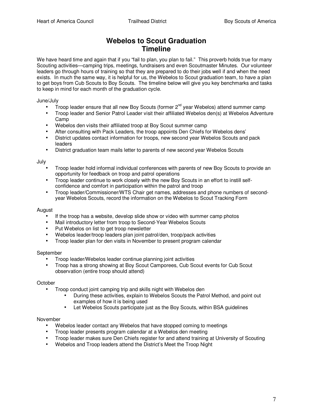## **Webelos to Scout Graduation Timeline**

We have heard time and again that if you "fail to plan, you plan to fail." This proverb holds true for many Scouting activities—camping trips, meetings, fundraisers and even Scoutmaster Minutes. Our volunteer leaders go through hours of training so that they are prepared to do their jobs well if and when the need exists. In much the same way, it is helpful for us, the Webelos to Scout graduation team, to have a plan to get boys from Cub Scouts to Boy Scouts. The timeline below will give you key benchmarks and tasks to keep in mind for each month of the graduation cycle.

June/July

- Troop leader ensure that all new Boy Scouts (former  $2^{nd}$  year Webelos) attend summer camp
- Troop leader and Senior Patrol Leader visit their affiliated Webelos den(s) at Webelos Adventure Camp
- Webelos den visits their affiliated troop at Boy Scout summer camp
- After consulting with Pack Leaders, the troop appoints Den Chiefs for Webelos dens'
- District updates contact information for troops, new second year Webelos Scouts and pack leaders
- District graduation team mails letter to parents of new second year Webelos Scouts

July

- Troop leader hold informal individual conferences with parents of new Boy Scouts to provide an opportunity for feedback on troop and patrol operations
- Troop leader continue to work closely with the new Boy Scouts in an effort to instill selfconfidence and comfort in participation within the patrol and troop
- Troop leader/Commissioner/WTS Chair get names, addresses and phone numbers of secondyear Webelos Scouts, record the information on the Webelos to Scout Tracking Form

#### August

- If the troop has a website, develop slide show or video with summer camp photos
- Mail introductory letter from troop to Second-Year Webelos Scouts
- Put Webelos on list to get troop newsletter
- Webelos leader/troop leaders plan joint patrol/den, troop/pack activities
- Troop leader plan for den visits in November to present program calendar

#### September

- Troop leader/Webelos leader continue planning joint activities
- Troop has a strong showing at Boy Scout Camporees, Cub Scout events for Cub Scout observation (entire troop should attend)

#### **October**

- Troop conduct joint camping trip and skills night with Webelos den
	- During these activities, explain to Webelos Scouts the Patrol Method, and point out examples of how it is being used
	- Let Webelos Scouts participate just as the Boy Scouts, within BSA guidelines

#### November

- Webelos leader contact any Webelos that have stopped coming to meetings
- Troop leader presents program calendar at a Webelos den meeting
- Troop leader makes sure Den Chiefs register for and attend training at University of Scouting
- Webelos and Troop leaders attend the District's Meet the Troop Night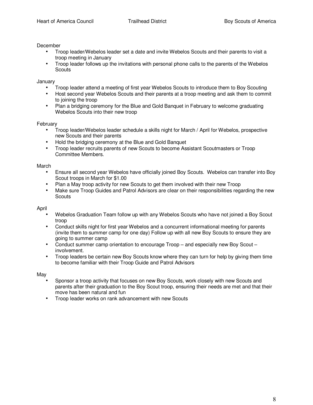#### December

- Troop leader/Webelos leader set a date and invite Webelos Scouts and their parents to visit a troop meeting in January
- Troop leader follows up the invitations with personal phone calls to the parents of the Webelos **Scouts**

January

- Troop leader attend a meeting of first year Webelos Scouts to introduce them to Boy Scouting
- Host second year Webelos Scouts and their parents at a troop meeting and ask them to commit to joining the troop
- Plan a bridging ceremony for the Blue and Gold Banquet in February to welcome graduating Webelos Scouts into their new troop

#### February

- Troop leader/Webelos leader schedule a skills night for March / April for Webelos, prospective new Scouts and their parents
- Hold the bridging ceremony at the Blue and Gold Banquet
- Troop leader recruits parents of new Scouts to become Assistant Scoutmasters or Troop Committee Members.

#### March

- Ensure all second year Webelos have officially joined Boy Scouts. Webelos can transfer into Boy Scout troops in March for \$1.00
- Plan a May troop activity for new Scouts to get them involved with their new Troop
- Make sure Troop Guides and Patrol Advisors are clear on their responsibilities regarding the new **Scouts**

#### April

- Webelos Graduation Team follow up with any Webelos Scouts who have not joined a Boy Scout troop
- Conduct skills night for first year Webelos and a concurrent informational meeting for parents (invite them to summer camp for one day) Follow up with all new Boy Scouts to ensure they are going to summer camp
- Conduct summer camp orientation to encourage Troop and especially new Boy Scout involvement.
- Troop leaders be certain new Boy Scouts know where they can turn for help by giving them time to become familiar with their Troop Guide and Patrol Advisors

#### May

- Sponsor a troop activity that focuses on new Boy Scouts, work closely with new Scouts and parents after their graduation to the Boy Scout troop, ensuring their needs are met and that their move has been natural and fun
- Troop leader works on rank advancement with new Scouts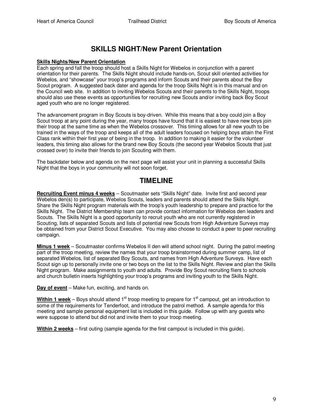## **SKILLS NIGHT/New Parent Orientation**

#### **Skills Nights/New Parent Orientation**

Each spring and fall the troop should host a Skills Night for Webelos in conjunction with a parent orientation for their parents. The Skills Night should include hands-on, Scout skill oriented activities for Webelos, and "showcase" your troop's programs and inform Scouts and their parents about the Boy Scout program. A suggested back dater and agenda for the troop Skills Night is in this manual and on the Council web site. In addition to inviting Webelos Scouts and their parents to the Skills Night, troops should also use these events as opportunities for recruiting new Scouts and/or inviting back Boy Scout aged youth who are no longer registered.

The advancement program in Boy Scouts is boy-driven. While this means that a boy could join a Boy Scout troop at any point during the year, many troops have found that it is easiest to have new boys join their troop at the same time as when the Webelos crossover. This timing allows for all new youth to be trained in the ways of the troop and keeps all of the adult leaders focused on helping boys attain the First Class rank within their first year of being in the troop. In addition to making it easier for the volunteer leaders, this timing also allows for the brand new Boy Scouts (the second year Webelos Scouts that just crossed over) to invite their friends to join Scouting with them.

The backdater below and agenda on the next page will assist your unit in planning a successful Skills Night that the boys in your community will not soon forget.

## **TIMELINE**

**Recruiting Event minus 4 weeks** – Scoutmaster sets "Skills Night" date. Invite first and second year Webelos den(s) to participate, Webelos Scouts, leaders and parents should attend the Skills Night. Share the Skills Night program materials with the troop's youth leadership to prepare and practice for the Skills Night. The District Membership team can provide contact information for Webelos den leaders and Scouts. The Skills Night is a good opportunity to recruit youth who are not currently registered in Scouting, lists of separated Scouts and lists of potential new Scouts from High Adventure Surveys may be obtained from your District Scout Executive. You may also choose to conduct a peer to peer recruiting campaign.

**Minus 1 week** – Scoutmaster confirms Webelos II den will attend school night. During the patrol meeting part of the troop meeting, review the names that your troop brainstormed during summer camp, list of separated Webelos, list of separated Boy Scouts, and names from High Adventure Surveys. Have each Scout sign up to personally invite one or two boys on the list to the Skills Night. Review and plan the Skills Night program. Make assignments to youth and adults. Provide Boy Scout recruiting fliers to schools and church bulletin inserts highlighting your troop's programs and inviting youth to the Skills Night.

**Day of event** – Make fun, exciting, and hands on.

**Within 1 week** – Boys should attend 1<sup>st</sup> troop meeting to prepare for 1<sup>st</sup> campout, get an introduction to some of the requirements for Tenderfoot, and introduce the patrol method. A sample agenda for this meeting and sample personal equipment list is included in this guide. Follow up with any guests who were suppose to attend but did not and invite them to your troop meeting.

**Within 2 weeks** – first outing (sample agenda for the first campout is included in this guide).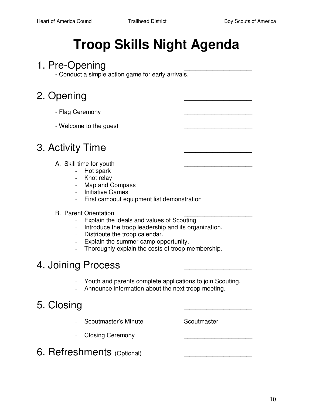# **Troop Skills Night Agenda**

## 1. Pre-Opening

- Conduct a simple action game for early arrivals.

## 2. Opening

- Flag Ceremony **\_\_\_\_\_\_\_\_\_\_\_\_\_\_\_\_\_\_\_\_**
- Welcome to the guest **\_\_\_\_\_\_\_\_\_\_\_\_\_\_\_\_\_\_\_\_**

## 3. Activity Time

- A. Skill time for youth **\_\_\_\_\_\_\_\_\_\_\_\_\_\_\_\_\_\_\_\_**
	- Hot spark
	- Knot relay
	- Map and Compass
	- Initiative Games
	- First campout equipment list demonstration

## **B.** Parent Orientation

- Explain the ideals and values of Scouting
- Introduce the troop leadership and its organization.
- Distribute the troop calendar.
- Explain the summer camp opportunity.
- Thoroughly explain the costs of troop membership.

## 4. Joining Process

- Youth and parents complete applications to join Scouting.
- Announce information about the next troop meeting.

## 5. Closing

- Scoutmaster's Minute Scoutmaster
- Closing Ceremony **\_\_\_\_\_\_\_\_\_\_\_\_\_\_\_\_\_\_\_\_**

6. Refreshments (Optional)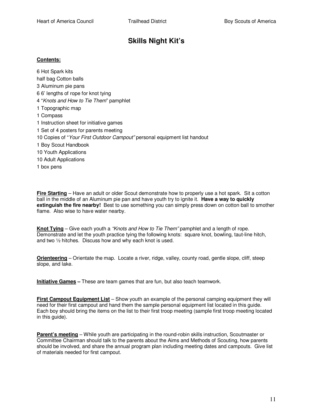## **Skills Night Kit's**

#### **Contents:**

6 Hot Spark kits half bag Cotton balls 3 Aluminum pie pans 6 6' lengths of rope for knot tying 4 "Knots and How to Tie Them" pamphlet 1 Topographic map 1 Compass 1 Instruction sheet for initiative games 1 Set of 4 posters for parents meeting 10 Copies of "Your First Outdoor Campout" personal equipment list handout 1 Boy Scout Handbook 10 Youth Applications 10 Adult Applications 1 box pens

**Fire Starting** – Have an adult or older Scout demonstrate how to properly use a hot spark. Sit a cotton ball in the middle of an Aluminum pie pan and have youth try to ignite it. **Have a way to quickly extinguish the fire nearby!** Best to use something you can simply press down on cotton ball to smother flame. Also wise to have water nearby.

**Knot Tying** – Give each youth a "Knots and How to Tie Them" pamphlet and a length of rope. Demonstrate and let the youth practice tying the following knots: square knot, bowling, taut-line hitch, and two ½ hitches. Discuss how and why each knot is used.

**Orienteering** – Orientate the map. Locate a river, ridge, valley, county road, gentle slope, cliff, steep slope, and lake.

**Initiative Games –** These are team games that are fun, but also teach teamwork.

**First Campout Equipment List** – Show youth an example of the personal camping equipment they will need for their first campout and hand them the sample personal equipment list located in this guide. Each boy should bring the items on the list to their first troop meeting (sample first troop meeting located in this guide).

**Parent's meeting** – While youth are participating in the round-robin skills instruction, Scoutmaster or Committee Chairman should talk to the parents about the Aims and Methods of Scouting, how parents should be involved, and share the annual program plan including meeting dates and campouts. Give list of materials needed for first campout.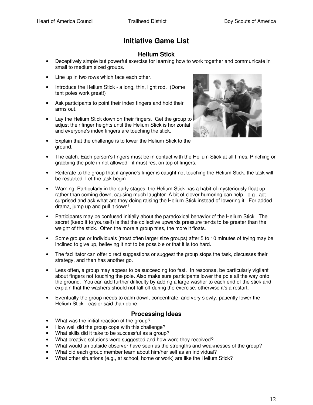## **Initiative Game List**

### **Helium Stick**

- Deceptively simple but powerful exercise for learning how to work together and communicate in small to medium sized groups.
- Line up in two rows which face each other.
- Introduce the Helium Stick a long, thin, light rod. (Dome tent poles work great!)
- Ask participants to point their index fingers and hold their arms out.
- Lay the Helium Stick down on their fingers. Get the group to adjust their finger heights until the Helium Stick is horizontal and everyone's index fingers are touching the stick.
- Explain that the challenge is to lower the Helium Stick to the ground.



- The catch: Each person's fingers must be in contact with the Helium Stick at all times. Pinching or grabbing the pole in not allowed - it must rest on top of fingers.
- Reiterate to the group that if anyone's finger is caught not touching the Helium Stick, the task will be restarted. Let the task begin....
- Warning: Particularly in the early stages, the Helium Stick has a habit of mysteriously float up rather than coming down, causing much laughter. A bit of clever humoring can help - e.g., act surprised and ask what are they doing raising the Helium Stick instead of lowering it! For added drama, jump up and pull it down!
- Participants may be confused initially about the paradoxical behavior of the Helium Stick. The secret (keep it to yourself) is that the collective upwards pressure tends to be greater than the weight of the stick. Often the more a group tries, the more it floats.
- Some groups or individuals (most often larger size groups) after 5 to 10 minutes of trying may be inclined to give up, believing it not to be possible or that it is too hard.
- The facilitator can offer direct suggestions or suggest the group stops the task, discusses their strategy, and then has another go.
- Less often, a group may appear to be succeeding too fast. In response, be particularly vigilant about fingers not touching the pole. Also make sure participants lower the pole all the way onto the ground. You can add further difficulty by adding a large washer to each end of the stick and explain that the washers should not fall off during the exercise, otherwise it's a restart.
- Eventually the group needs to calm down, concentrate, and very slowly, patiently lower the Helium Stick - easier said than done.

#### **Processing Ideas**

- What was the initial reaction of the group?
- How well did the group cope with this challenge?
- What skills did it take to be successful as a group?
- What creative solutions were suggested and how were they received?
- What would an outside observer have seen as the strengths and weaknesses of the group?
- What did each group member learn about him/her self as an individual?
- What other situations (e.g., at school, home or work) are like the Helium Stick?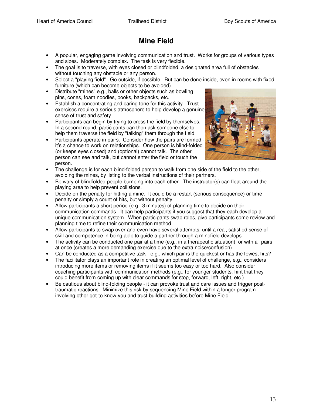## **Mine Field**

- A popular, engaging game involving communication and trust. Works for groups of various types and sizes. Moderately complex. The task is very flexible.
- The goal is to traverse, with eyes closed or blindfolded, a designated area full of obstacles without touching any obstacle or any person.
- Select a "playing field". Go outside, if possible. But can be done inside, even in rooms with fixed furniture (which can become objects to be avoided).
- Distribute "mines" e.g., balls or other objects such as bowling pins, cones, foam noodles, books, backpacks, etc.
- Establish a concentrating and caring tone for this activity. Trust exercises require a serious atmosphere to help develop a genuine sense of trust and safety.
- Participants can begin by trying to cross the field by themselves. In a second round, participants can then ask someone else to help them traverse the field by "talking" them through the field.
- Participants operate in pairs. Consider how the pairs are formed it's a chance to work on relationships. One person is blind-folded (or keeps eyes closed) and (optional) cannot talk. The other person can see and talk, but cannot enter the field or touch the person.



- The challenge is for each blind-folded person to walk from one side of the field to the other, avoiding the mines, by listing to the verbal instructions of their partners.
- Be wary of blindfolded people bumping into each other. The instructor(s) can float around the playing area to help prevent collisions.
- Decide on the penalty for hitting a mine. It could be a restart (serious consequence) or time penalty or simply a count of hits, but without penalty.
- Allow participants a short period (e.g., 3 minutes) of planning time to decide on their communication commands. It can help participants if you suggest that they each develop a unique communication system. When participants swap roles, give participants some review and planning time to refine their communication method.
- Allow participants to swap over and even have several attempts, until a real, satisfied sense of skill and competence in being able to guide a partner through a minefield develops.
- The activity can be conducted one pair at a time (e.g., in a therapeutic situation), or with all pairs at once (creates a more demanding exercise due to the extra noise/confusion).
- Can be conducted as a competitive task e.g., which pair is the quickest or has the fewest hits?
- The facilitator plays an important role in creating an optimal level of challenge, e.g., considers introducing more items or removing items if it seems too easy or too hard. Also consider coaching participants with communication methods (e.g., for younger students, hint that they could benefit from coming up with clear commands for stop, forward, left, right, etc.).
- Be cautious about blind-folding people it can provoke trust and care issues and trigger posttraumatic reactions. Minimize this risk by sequencing Mine Field within a longer program involving other get-to-know-you and trust building activities before Mine Field.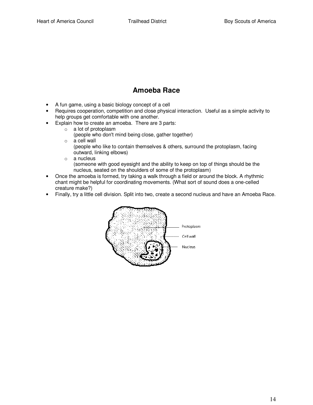## **Amoeba Race**

- A fun game, using a basic biology concept of a cell
- Requires cooperation, competition and close physical interaction. Useful as a simple activity to help groups get comfortable with one another.
- Explain how to create an amoeba. There are 3 parts:
	- o a lot of protoplasm

(people who don't mind being close, gather together)

- o a cell wall
	- (people who like to contain themselves & others, surround the protoplasm, facing outward, linking elbows)
- o a nucleus (someone with good eyesight and the ability to keep on top of things should be the nucleus, seated on the shoulders of some of the protoplasm)
- Once the amoeba is formed, try taking a walk through a field or around the block. A rhythmic chant might be helpful for coordinating movements. (What sort of sound does a one-celled creature make?)
- Finally, try a little cell division. Split into two, create a second nucleus and have an Amoeba Race.

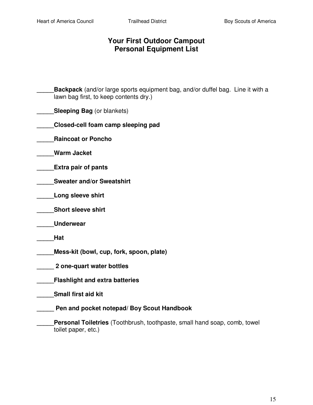## **Your First Outdoor Campout Personal Equipment List**

- **Backpack** (and/or large sports equipment bag, and/or duffel bag. Line it with a lawn bag first, to keep contents dry.)
- **Sleeping Bag** (or blankets)
- **\_\_\_\_\_Closed-cell foam camp sleeping pad**
- **\_\_\_\_\_Raincoat or Poncho**
- **\_\_\_\_\_Warm Jacket**
- **\_\_\_\_\_Extra pair of pants**
- **\_\_\_\_\_Sweater and/or Sweatshirt**
- **\_\_\_\_\_Long sleeve shirt**
- **\_\_\_\_\_Short sleeve shirt**
- **\_\_\_\_\_Underwear**
- **\_\_\_\_\_Hat**
- **\_\_\_\_\_Mess-kit (bowl, cup, fork, spoon, plate)**
- **\_\_\_\_\_ 2 one-quart water bottles**
- **\_\_\_\_\_Flashlight and extra batteries**
- **\_\_\_\_\_Small first aid kit**
- **\_\_\_\_\_ Pen and pocket notepad/ Boy Scout Handbook** 
	- **\_\_\_\_\_Personal Toiletries** (Toothbrush, toothpaste, small hand soap, comb, towel toilet paper, etc.)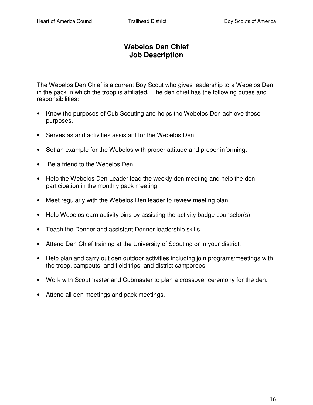## **Webelos Den Chief Job Description**

The Webelos Den Chief is a current Boy Scout who gives leadership to a Webelos Den in the pack in which the troop is affiliated. The den chief has the following duties and responsibilities:

- Know the purposes of Cub Scouting and helps the Webelos Den achieve those purposes.
- Serves as and activities assistant for the Webelos Den.
- Set an example for the Webelos with proper attitude and proper informing.
- Be a friend to the Webelos Den.
- Help the Webelos Den Leader lead the weekly den meeting and help the den participation in the monthly pack meeting.
- Meet regularly with the Webelos Den leader to review meeting plan.
- Help Webelos earn activity pins by assisting the activity badge counselor(s).
- Teach the Denner and assistant Denner leadership skills.
- Attend Den Chief training at the University of Scouting or in your district.
- Help plan and carry out den outdoor activities including join programs/meetings with the troop, campouts, and field trips, and district camporees.
- Work with Scoutmaster and Cubmaster to plan a crossover ceremony for the den.
- Attend all den meetings and pack meetings.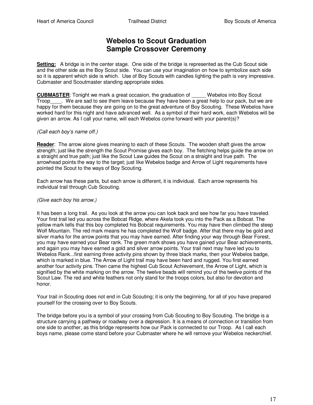## **Webelos to Scout Graduation Sample Crossover Ceremony**

**Setting:** A bridge is in the center stage. One side of the bridge is represented as the Cub Scout side and the other side as the Boy Scout side. You can use your imagination on how to symbolize each side so it is apparent which side is which. Use of Boy Scouts with candles lighting the path is very impressive. Cubmaster and Scoutmaster standing appropriate sides.

**CUBMASTER:** Tonight we mark a great occasion, the graduation of Webelos into Boy Scout Troop . We are sad to see them leave because they have been a great help to our pack, but we are happy for them because they are going on to the great adventure of Boy Scouting. These Webelos have worked hard for this night and have advanced well. As a symbol of their hard work, each Webelos will be given an arrow. As I call your name, will each Webelos come forward with your parent(s)?

#### (Call each boy's name off.)

**Reader**: The arrow alone gives meaning to each of these Scouts. The wooden shaft gives the arrow strength; just like the strength the Scout Promise gives each boy. The fletching helps guide the arrow on a straight and true path; just like the Scout Law guides the Scout on a straight and true path. The arrowhead points the way to the target; just like Webelos badge and Arrow of Light requirements have pointed the Scout to the ways of Boy Scouting.

Each arrow has these parts, but each arrow is different, it is individual. Each arrow represents his individual trail through Cub Scouting.

#### (Give each boy his arrow.)

It has been a long trail. As you look at the arrow you can look back and see how far you have traveled. Your first trail led you across the Bobcat Ridge, where Akela took you into the Pack as a Bobcat. The yellow mark tells that this boy completed his Bobcat requirements. You may have then climbed the steep Wolf Mountain. The red mark means he has completed the Wolf badge. After that there may be gold and silver marks for the arrow points that you may have earned. After finding your way through Bear Forest, you may have earned your Bear rank. The green mark shows you have gained your Bear achievements, and again you may have earned a gold and silver arrow points. Your trail next may have led you to Webelos Rank...first earning three activity pins shown by three black marks, then your Webelos badge, which is marked in blue. The Arrow of Light trail may have been hard and rugged. You first earned another four activity pins. Then came the highest Cub Scout Achievement, the Arrow of Light, which is signified by the white marking on the arrow. The twelve beads will remind you of the twelve points of the Scout Law. The red and white feathers not only stand for the troops colors, but also for devotion and honor.

Your trail in Scouting does not end in Cub Scouting; it is only the beginning, for all of you have prepared yourself for the crossing over to Boy Scouts.

The bridge before you is a symbol of your crossing from Cub Scouting to Boy Scouting. The bridge is a structure carrying a pathway or roadway over a depression. It is a means of connection or transition from one side to another, as this bridge represents how our Pack is connected to our Troop. As I call each boys name, please come stand before your Cubmaster where he will remove your Webelos neckerchief.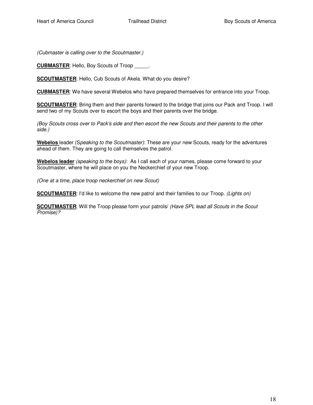(Cubmaster is calling over to the Scoutmaster.)

**CUBMASTER**: Hello, Boy Scouts of Troop \_\_\_\_\_.

**SCOUTMASTER**: Hello, Cub Scouts of Akela. What do you desire?

**CUBMASTER**: We have several Webelos who have prepared themselves for entrance into your Troop.

**SCOUTMASTER:** Bring them and their parents forward to the bridge that joins our Pack and Troop. I will send two of my Scouts over to escort the boys and their parents over the bridge.

(Boy Scouts cross over to Pack's side and then escort the new Scouts and their parents to the other side.)

**Webelos** leader (Speaking to the Scoutmaster): These are your new Scouts, ready for the adventures ahead of them. They are going to call themselves the patrol.

**Webelos leader** (speaking to the boys): As I call each of your names, please come forward to your Scoutmaster, where he will place on you the Neckerchief of your new Troop.

(One at a time, place troop neckerchief on new Scout)

**SCOUTMASTER:** I'd like to welcome the new patrol and their families to our Troop. (Lights on)

**SCOUTMASTER:** Will the Troop please form your patrols/ (Have SPL lead all Scouts in the Scout Promise)?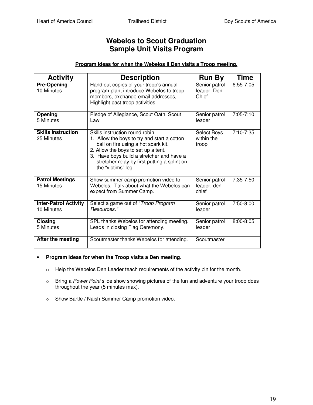## **Webelos to Scout Graduation Sample Unit Visits Program**

#### **Program ideas for when the Webelos II Den visits a Troop meeting.**

| <b>Activity</b>                            | <b>Description</b>                                                                                                                                                                                                                                                              | <b>Run By</b>                         | <b>Time</b>   |
|--------------------------------------------|---------------------------------------------------------------------------------------------------------------------------------------------------------------------------------------------------------------------------------------------------------------------------------|---------------------------------------|---------------|
| <b>Pre-Opening</b><br>10 Minutes           | Hand out copies of your troop's annual<br>program plan; introduce Webelos to troop<br>members, exchange email addresses,<br>Highlight past troop activities.                                                                                                                    | Senior patrol<br>leader, Den<br>Chief | 6:55-7:05     |
| Opening<br>5 Minutes                       | Pledge of Allegiance, Scout Oath, Scout<br>Law                                                                                                                                                                                                                                  | Senior patrol<br>leader               | 7:05-7:10     |
| <b>Skills Instruction</b><br>25 Minutes    | Skills instruction round robin.<br>1. Allow the boys to try and start a cotton<br>ball on fire using a hot spark kit.<br>2. Allow the boys to set up a tent.<br>3. Have boys build a stretcher and have a<br>stretcher relay by first putting a splint on<br>the "victims" leg. | Select Boys<br>within the<br>troop    | 7:10-7:35     |
| <b>Patrol Meetings</b><br>15 Minutes       | Show summer camp promotion video to<br>Webelos. Talk about what the Webelos can<br>expect from Summer Camp.                                                                                                                                                                     | Senior patrol<br>leader, den<br>chief | 7:35-7:50     |
| <b>Inter-Patrol Activity</b><br>10 Minutes | Select a game out of "Troop Program<br>Resources."                                                                                                                                                                                                                              | Senior patrol<br>leader               | 7:50-8:00     |
| <b>Closing</b><br>5 Minutes                | SPL thanks Webelos for attending meeting.<br>Leads in closing Flag Ceremony.                                                                                                                                                                                                    | Senior patrol<br>leader               | $8:00 - 8:05$ |
| After the meeting                          | Scoutmaster thanks Webelos for attending.                                                                                                                                                                                                                                       | Scoutmaster                           |               |

#### • **Program ideas for when the Troop visits a Den meeting.**

- o Help the Webelos Den Leader teach requirements of the activity pin for the month.
- o Bring a Power Point slide show showing pictures of the fun and adventure your troop does throughout the year (5 minutes max).
- o Show Bartle / Naish Summer Camp promotion video.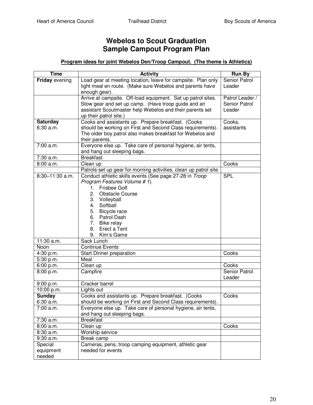## **Webelos to Scout Graduation Sample Campout Program Plan**

#### **Program ideas for joint Webelos Den/Troop Campout. (The theme is Athletics)**

| <b>Time</b>           | <b>Activity</b>                                                                          | <b>Run By</b>   |
|-----------------------|------------------------------------------------------------------------------------------|-----------------|
| <b>Friday</b> evening | Load gear at meeting location, leave for campsite. Plan only                             | Senior Patrol   |
|                       | light meal en route. (Make sure Webelos and parents have                                 | Leader          |
|                       | enough gear).                                                                            |                 |
|                       | Arrive at campsite. Off-load equipment. Set up patrol sites.                             | Patrol Leader / |
|                       | Stow gear and set up camp. (Have troop guide and an                                      | Senior Patrol   |
|                       | assistant Scoutmaster help Webelos and their parents set                                 | Leader          |
|                       | up their patrol site.)                                                                   |                 |
| <b>Saturday</b>       | Cooks and assistants up. Prepare breakfast. (Cooks                                       | Cooks,          |
| 6:30 a.m.             | should be working on First and Second Class requirements).                               | assistants      |
|                       | The older boy patrol also makes breakfast for Webelos and                                |                 |
|                       | their parents.                                                                           |                 |
| 7:00 a.m.             | Everyone else up. Take care of personal hygiene, air tents,                              |                 |
|                       | and hang out sleeping bags.<br><b>Breakfast</b>                                          |                 |
| 7:30 a.m.             |                                                                                          |                 |
| 8:00 a.m.             | Clean up                                                                                 | Cooks           |
| $8:30 - 11:30$ a.m.   | Patrols set up gear for morning activities, clean up patrol site                         |                 |
|                       | Conduct athletic skills events (See page 27-28 in Troop<br>Program Features Volume # 1). | <b>SPL</b>      |
|                       | <b>Frisbee Golf</b><br>1.                                                                |                 |
|                       | 2.<br><b>Obstacle Course</b>                                                             |                 |
|                       | 3.<br>Volleyball                                                                         |                 |
|                       | Softball<br>4.                                                                           |                 |
|                       | 5.<br>Bicycle race                                                                       |                 |
|                       | 6. Patrol Dash                                                                           |                 |
|                       | 7.<br>Bike relay                                                                         |                 |
|                       | 8.<br>Erect a Tent                                                                       |                 |
|                       | 9. Kim's Game                                                                            |                 |
| 11:30 a.m.            | Sack Lunch                                                                               |                 |
| Noon                  | <b>Continue Events</b>                                                                   |                 |
| 4:30 p.m.             | Start Dinner preparation                                                                 | Cooks           |
| 5:30 p.m.             | Meal                                                                                     |                 |
| 6:00 p.m.             | Clean up                                                                                 | Cooks           |
| 8:00 p.m.             | Campfire                                                                                 | Senior Patrol   |
|                       |                                                                                          | Leader          |
| 9:00 p.m.             | Cracker barrel                                                                           |                 |
| 10:00 p.m.            | Lights out                                                                               |                 |
| Sunday                | Cooks and assistants up. Prepare breakfast. (Cooks                                       | Cooks           |
| 6:30 a.m.             | should be working on First and Second Class requirements).                               |                 |
| 7:00 a.m.             | Everyone else up. Take care of personal hygiene, air tents,                              |                 |
|                       | and hang out sleeping bags.                                                              |                 |
| 7:30 a.m.             | <b>Breakfast</b>                                                                         |                 |
| 8:00 a.m.             | Clean up                                                                                 | Cooks           |
| $8:30$ a.m.           | Worship service                                                                          |                 |
| 9:30 a.m.             | Break camp                                                                               |                 |
| Special               | Cameras, pens, troop camping equipment, athletic gear                                    |                 |
| equipment             | needed for events                                                                        |                 |
| needed                |                                                                                          |                 |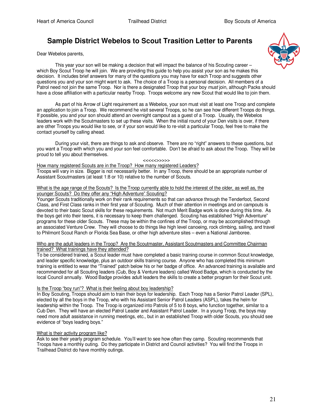## **Sample District Webelos to Scout Trasition Letter to Parents**

Dear Webelos parents,



As part of his Arrow of Light requirement as a Webelos, your son must visit at least one Troop and complete an application to join a Troop. We recommend he visit several Troops, so he can see how different Troops do things. If possible, you and your son should attend an overnight campout as a guest of a Troop. Usually, the Webelos leaders work with the Scoutmasters to set up these visits. When the initial round of your Den visits is over, if there are other Troops you would like to see, or if your son would like to re-visit a particular Troop, feel free to make the contact yourself by calling ahead.

During your visit, there are things to ask and observe. There are no "right" answers to these questions, but you want a Troop with which you and your son feel comfortable. Don't be afraid to ask about the Troop. They will be proud to tell you about themselves.

#### <<<<<>>>>>

How many registered Scouts are in the Troop? How many registered Leaders? Troops will vary in size. Bigger is not necessarily better. In any Troop, there should be an appropriate number of Assistant Scoutmasters (at least 1:8 or 10) relative to the number of Scouts.

#### What is the age range of the Scouts? Is the Troop currently able to hold the interest of the older, as well as, the younger Scouts? Do they offer any "High Adventure" Scouting?

Younger Scouts traditionally work on their rank requirements so that can advance through the Tenderfoot, Second Class, and First Class ranks in their first year of Scouting. Much of their attention in meetings and on campouts is devoted to their basic Scout skills for these requirements. Not much Merit Badge work is done during this time. As the boys get into their teens, it is necessary to keep them challenged. Scouting has established "High Adventure" programs for these older Scouts. These may be within the confines of the Troop, or may be accomplished through an associated Venture Crew. They will choose to do things like high level canoeing, rock climbing, sailing, and travel to Philmont Scout Ranch or Florida Sea Base, or other high adventure sites – even a National Jamboree.

#### Who are the adult leaders in the Troop? Are the Scoutmaster, Assistant Scoutmasters and Committee Chairman trained? What trainings have they attended?

To be considered trained, a Scout leader must have completed a basic training course in common Scout knowledge, and leader specific knowledge, plus an outdoor skills training course. Anyone who has completed this minimum training is entitled to wear the "Trained" patch below his or her badge of office. An advanced training is available and recommended for all Scouting leaders (Cub, Boy & Venture leaders) called Wood Badge, which is conducted by the local Council annually. Wood Badge provides adult leaders the skills to create a better program for their Scout unit.

#### Is the Troop "boy run"? What is their feeling about boy leadership?

In Boy Scouting, Troops should aim to train their boys for leadership. Each Troop has a Senior Patrol Leader (SPL), elected by all the boys in the Troop, who with his Assistant Senior Patrol Leaders (ASPL), takes the helm for leadership within the Troop. The Troop is organized into Patrols of 5 to 8 boys, who function together, similar to a Cub Den. They will have an elected Patrol Leader and Assistant Patrol Leader. In a young Troop, the boys may need more adult assistance in running meetings, etc., but in an established Troop with older Scouts, you should see evidence of "boys leading boys."

#### What is their activity program like?

Ask to see their yearly program schedule. You'll want to see how often they camp. Scouting recommends that Troops have a monthly outing. Do they participate in District and Council activities? You will find the Troops in Trailhead District do have monthly outings.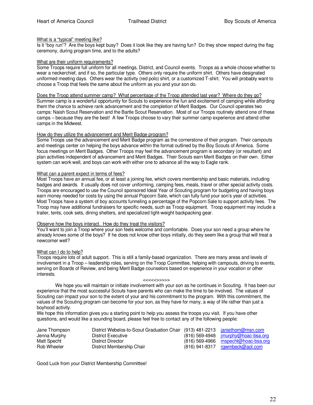#### What is a "typical" meeting like?

Is it "boy run"? Are the boys kept busy? Does it look like they are having fun? Do they show respect during the flag ceremony, during program time, and to the adults?

#### What are their uniform requirements?

Some Troops require full uniform for all meetings, District, and Council events. Troops as a whole choose whether to wear a neckerchief, and if so, the particular type. Others only require the uniform shirt. Others have designated uniformed meeting days. Others wear the activity (red polo) shirt, or a customized T-shirt. You will probably want to choose a Troop that feels the same about the uniform as you and your son do.

#### Does the Troop attend summer camp? What percentage of the Troop attended last year? Where do they go?

Summer camp is a wonderful opportunity for Scouts to experience the fun and excitement of camping while affording them the chance to achieve rank advancement and the completion of Merit Badges. Our Council operates two camps: Naish Scout Reservation and the Bartle Scout Reservation. Most of our Troops routinely attend one of these camps – because they are the best! A few Troops choose to vary their summer camp experience and attend other camps in the Midwest.

#### How do they utilize the advancement and Merit Badge program?

Some Troops use the advancement and Merit Badge program as the cornerstone of their program. Their campouts and meetings center on helping the boys advance within the format outlined by the Boy Scouts of America. Some focus meetings on Merit Badges. Other Troops may feel the advancement program is secondary (or resultant) and plan activities independent of advancement and Merit Badges. Their Scouts earn Merit Badges on their own. Either system can work well, and boys can work with either one to advance all the way to Eagle rank.

#### What can a parent expect in terms of fees?

Most Troops have an annual fee, or at least a joining fee, which covers membership and basic materials, including badges and awards. It usually does not cover uniforming, camping fees, meals, travel or other special activity costs. Troops are encouraged to use the Council sponsored Ideal Year of Scouting program for budgeting and having boys earn money needed for costs by using the annual Popcorn Sale, which can fully fund your son's year of activities. Most Troops have a system of boy accounts funneling a percentage of the Popcorn Sale to support activity fees. The Troop may have additional fundraisers for specific needs, such as Troop equipment. Troop equipment may include a trailer, tents, cook sets, dining shelters, and specialized light-weight backpacking gear.

#### Observe how the boys interact. How do they treat the visitors?

You'll want to join a Troop where your son feels welcome and comfortable. Does your son need a group where he already knows some of the boys? If he does not know other boys initially, do they seem like a group that will treat a newcomer well?

#### What can I do to help?

Troops require lots of adult support. This is still a family-based organization. There are many areas and levels of involvement in a Troop – leadership roles, serving on the Troop Committee, helping with campouts, driving to events, serving on Boards of Review, and being Merit Badge counselors based on experience in your vocation or other interests.

#### <<<<<>>>>>

We hope you will maintain or initiate involvement with your son as he continues in Scouting. It has been our experience that the most successful Scouts have parents who can make the time to be involved. The values of Scouting can impact your son to the extent of your and his commitment to the program. With this commitment, the values of the Scouting program can become for your son, as they have for many, a way of life rather than just a boyhood activity.

We hope this information gives you a starting point to help you assess the troops you visit. If you have other questions, and would like a sounding board, please feel free to contact any of the following people:

| Jane Thompson | District Webelos-to-Scout Graduation Chair (913) 481-2213 janiethom@msn.com |                                                |
|---------------|-----------------------------------------------------------------------------|------------------------------------------------|
| Jenna Murphy  | District Executive                                                          | $(816)$ 569-4948 $\equiv$ imurphy@hoac-bsa.org |
| Matt Specht   | District Director                                                           | $(816)$ 569-4966 mspecht@hoac-bsa.org          |
| Rob Wheeler   | District Membership Chair                                                   | $(816)$ 941-8317 rgwmbeck@aol.com              |

Good Luck from your District Membership Committee!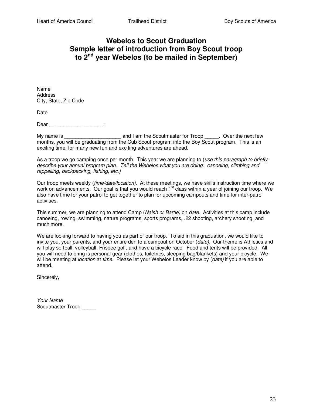## **Webelos to Scout Graduation Sample letter of introduction from Boy Scout troop to 2nd year Webelos (to be mailed in September)**

Name Address City, State, Zip Code

Date

Dear \_\_\_\_\_\_\_\_\_\_\_\_\_\_\_\_\_\_\_\_\_\_\_\_:

My name is Transaction and I am the Scoutmaster for Troop Troop Cover the next few months, you will be graduating from the Cub Scout program into the Boy Scout program. This is an exciting time, for many new fun and exciting adventures are ahead.

As a troop we go camping once per month. This year we are planning to (use this paragraph to briefly describe your annual program plan. Tell the Webelos what you are doing: canoeing, climbing and rappelling, backpacking, fishing, etc.)

Our troop meets weekly (time/date/location). At these meetings, we have skills instruction time where we work on advancements. Our goal is that you would reach 1<sup>st</sup> class within a year of joining our troop. We also have time for your patrol to get together to plan for upcoming campouts and time for inter-patrol activities.

This summer, we are planning to attend Camp (Naish or Bartle) on date. Activities at this camp include canoeing, rowing, swimming, nature programs, sports programs, .22 shooting, archery shooting, and much more.

We are looking forward to having you as part of our troop. To aid in this graduation, we would like to invite you, your parents, and your entire den to a campout on October (date). Our theme is Athletics and will play softball, volleyball, Frisbee golf, and have a bicycle race. Food and tents will be provided. All you will need to bring is personal gear (clothes, toiletries, sleeping bag/blankets) and your bicycle. We will be meeting at *location* at time. Please let your Webelos Leader know by (date) if you are able to attend.

Sincerely,

Your Name Scoutmaster Troop \_\_\_\_\_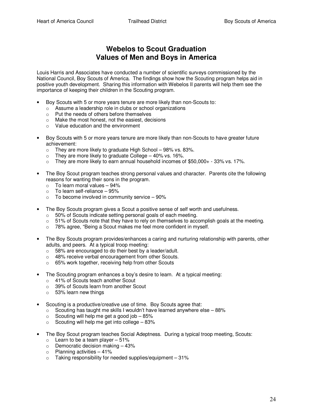## **Webelos to Scout Graduation Values of Men and Boys in America**

Louis Harris and Associates have conducted a number of scientific surveys commissioned by the National Council, Boy Scouts of America. The findings show how the Scouting program helps aid in positive youth development. Sharing this information with Webelos II parents will help them see the importance of keeping their children in the Scouting program.

- Boy Scouts with 5 or more years tenure are more likely than non-Scouts to:
	- o Assume a leadership role in clubs or school organizations
	- o Put the needs of others before themselves
	- o Make the most honest, not the easiest, decisions
	- o Value education and the environment
- Boy Scouts with 5 or more years tenure are more likely than non-Scouts to have greater future achievement:
	- $\circ$  They are more likely to graduate High School 98% vs. 83%.
	- $\circ$  They are more likely to graduate College 40% vs. 16%.
	- $\circ$  They are more likely to earn annual household incomes of \$50,000+ 33% vs. 17%.
- The Boy Scout program teaches strong personal values and character. Parents cite the following reasons for wanting their sons in the program.
	- $\circ$  To learn moral values 94%
	- $\circ$  To learn self-reliance 95%
	- $\circ$  To become involved in community service  $-90\%$
- The Boy Scouts program gives a Scout a positive sense of self worth and usefulness.
	- o 50% of Scouts indicate setting personal goals of each meeting.
	- $\circ$  51% of Scouts note that they have to rely on themselves to accomplish goals at the meeting.
	- o 78% agree, "Being a Scout makes me feel more confident in myself.
- The Boy Scouts program provides/enhances a caring and nurturing relationship with parents, other adults, and peers. At a typical troop meeting:
	- o 58% are encouraged to do their best by a leader/adult.
	- o 48% receive verbal encouragement from other Scouts.
	- o 65% work together, receiving help from other Scouts
- The Scouting program enhances a boy's desire to learn. At a typical meeting:
	- o 41% of Scouts teach another Scout
	- o 39% of Scouts learn from another Scout
	- o 53% learn new things
- Scouting is a productive/creative use of time. Boy Scouts agree that:
	- $\circ$  Scouting has taught me skills I wouldn't have learned anywhere else 88%
	- $\circ$  Scouting will help me get a good job  $-85\%$
	- $\circ$  Scouting will help me get into college 83%
- The Boy Scout program teaches Social Adeptness. During a typical troop meeting, Scouts:
	- $\circ$  Learn to be a team player 51%
	- $\circ$  Democratic decision making  $-43\%$
	- $\circ$  Planning activities  $-41\%$
	- $\circ$  Taking responsibility for needed supplies/equipment 31%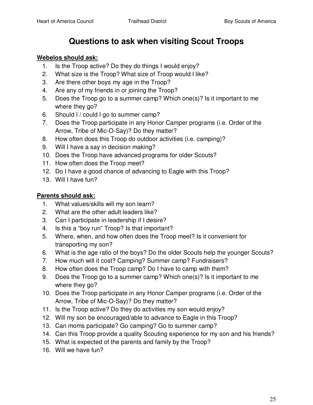## **Questions to ask when visiting Scout Troops**

### **Webelos should ask:**

- 1. Is the Troop active? Do they do things I would enjoy?
- 2. What size is the Troop? What size of Troop would I like?
- 3. Are there other boys my age in the Troop?
- 4. Are any of my friends in or joining the Troop?
- 5. Does the Troop go to a summer camp? Which one(s)? Is it important to me where they go?
- 6. Should I / could I go to summer camp?
- 7. Does the Troop participate in any Honor Camper programs (i.e. Order of the Arrow, Tribe of Mic-O-Say)? Do they matter?
- 8. How often does this Troop do outdoor activities (i.e. camping)?
- 9. Will I have a say in decision making?
- 10. Does the Troop have advanced programs for older Scouts?
- 11. How often does the Troop meet?
- 12. Do I have a good chance of advancing to Eagle with this Troop?
- 13. Will I have fun?

## **Parents should ask:**

- 1. What values/skills will my son learn?
- 2. What are the other adult leaders like?
- 3. Can I participate in leadership if I desire?
- 4. Is this a "boy run" Troop? Is that important?
- 5. Where, when, and how often does the Troop meet? Is it convenient for transporting my son?
- 6. What is the age ratio of the boys? Do the older Scouts help the younger Scouts?
- 7. How much will it cost? Camping? Summer camp? Fundraisers?
- 8. How often does the Troop camp? Do I have to camp with them?
- 9. Does the Troop go to a summer camp? Which one(s)? Is it important to me where they go?
- 10. Does the Troop participate in any Honor Camper programs (i.e. Order of the Arrow, Tribe of Mic-O-Say)? Do they matter?
- 11. Is the Troop active? Do they do activities my son would enjoy?
- 12. Will my son be encouraged/able to advance to Eagle in this Troop?
- 13. Can moms participate? Go camping? Go to summer camp?
- 14. Can this Troop provide a quality Scouting experience for my son and his friends?
- 15. What is expected of the parents and family by the Troop?
- 16. Will we have fun?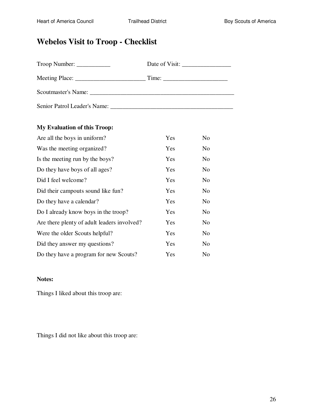## **Webelos Visit to Troop - Checklist**

| Troop Number:                      | Date of Visit: $\frac{1}{2}$ |
|------------------------------------|------------------------------|
|                                    |                              |
|                                    |                              |
| Senior Patrol Leader's Name: Name: |                              |

### **My Evaluation of this Troop:**

| Are all the boys in uniform?                | Yes | N <sub>0</sub> |
|---------------------------------------------|-----|----------------|
| Was the meeting organized?                  | Yes | N <sub>o</sub> |
| Is the meeting run by the boys?             | Yes | N <sub>0</sub> |
| Do they have boys of all ages?              | Yes | N <sub>0</sub> |
| Did I feel welcome?                         | Yes | N <sub>0</sub> |
| Did their campouts sound like fun?          | Yes | N <sub>0</sub> |
| Do they have a calendar?                    | Yes | N <sub>0</sub> |
| Do I already know boys in the troop?        | Yes | N <sub>0</sub> |
| Are there plenty of adult leaders involved? | Yes | N <sub>0</sub> |
| Were the older Scouts helpful?              | Yes | No             |
| Did they answer my questions?               | Yes | N <sub>o</sub> |
| Do they have a program for new Scouts?      | Yes | N <sub>0</sub> |

#### **Notes:**

Things I liked about this troop are:

Things I did not like about this troop are: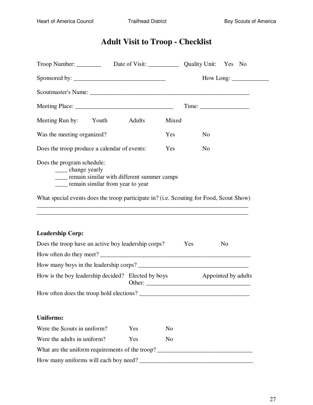## **Adult Visit to Troop - Checklist**

|                                                                                                                                                |     |                | $How Long: ____________$                                  |
|------------------------------------------------------------------------------------------------------------------------------------------------|-----|----------------|-----------------------------------------------------------|
|                                                                                                                                                |     |                |                                                           |
|                                                                                                                                                |     |                |                                                           |
| Meeting Run by: Youth Adults                                                                                                                   |     | Mixed          |                                                           |
| Was the meeting organized?                                                                                                                     |     | Yes            | N <sub>o</sub>                                            |
| Does the troop produce a calendar of events:                                                                                                   |     | Yes            | N <sub>0</sub>                                            |
| Does the program schedule:<br>______ change yearly<br>____ remain similar with different summer camps<br>____ remain similar from year to year |     |                |                                                           |
| What special events does the troop participate in? (i.e. Scouting for Food, Scout Show)                                                        |     |                |                                                           |
|                                                                                                                                                |     |                | <u> 1989 - John Stone, Amerikaansk politiker (* 1989)</u> |
|                                                                                                                                                |     |                |                                                           |
| <b>Leadership Corp:</b>                                                                                                                        |     |                |                                                           |
| Does the troop have an active boy leadership corps?                                                                                            |     | Yes            | N <sub>0</sub>                                            |
| How often do they meet?                                                                                                                        |     |                |                                                           |
|                                                                                                                                                |     |                |                                                           |
| How is the boy leadership decided? Elected by boys                                                                                             |     |                | Appointed by adults                                       |
| How often does the troop hold elections?                                                                                                       |     |                |                                                           |
|                                                                                                                                                |     |                |                                                           |
| <b>Uniforms:</b>                                                                                                                               |     |                |                                                           |
| Were the Scouts in uniform?                                                                                                                    | Yes | N <sub>0</sub> |                                                           |
| Were the adults in uniform?                                                                                                                    | Yes | N <sub>o</sub> |                                                           |
| What are the uniform requirements of the troop? ________________________________                                                               |     |                |                                                           |
|                                                                                                                                                |     |                |                                                           |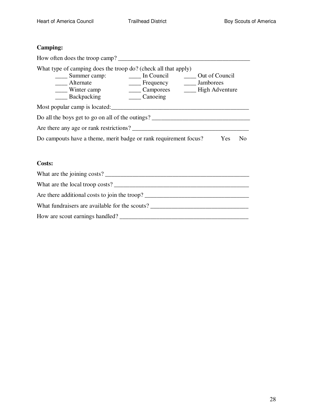## **Camping:**

| How often does the troop camp?                                                                                                                 |                                                                  |                |
|------------------------------------------------------------------------------------------------------------------------------------------------|------------------------------------------------------------------|----------------|
| What type of camping does the troop do? (check all that apply)<br>Summer camp:<br>Alternate<br>$\frac{1}{2}$ Winter camp<br><b>Backpacking</b> | In Council<br>_____ Frequency _______ Jamborees<br>Canoeing      | Out of Council |
| Most popular camp is located:                                                                                                                  |                                                                  |                |
| Do all the boys get to go on all of the outings?                                                                                               |                                                                  |                |
| Are there any age or rank restrictions?                                                                                                        |                                                                  |                |
|                                                                                                                                                | Do campouts have a theme, merit badge or rank requirement focus? | Yes<br>No      |

### **Costs:**

| What are the joining costs?                    |
|------------------------------------------------|
| What are the local troop costs?                |
| Are there additional costs to join the troop?  |
| What fundraisers are available for the scouts? |
| How are scout earnings handled?                |